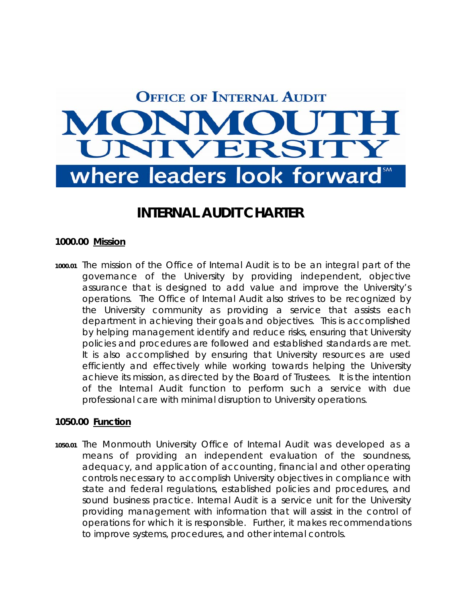# **OFFICE OF INTERNAL AUDIT** MO VERSIT where leaders look forward

# **INTERNAL AUDIT CHARTER**

#### **1000.00 Mission**

**1000.01** The mission of the Office of Internal Audit is to be an integral part of the governance of the University by providing independent, objective assurance that is designed to add value and improve the University's operations. The Office of Internal Audit also strives to be recognized by the University community as providing a service that assists each department in achieving their goals and objectives. This is accomplished by helping management identify and reduce risks, ensuring that University policies and procedures are followed and established standards are met. It is also accomplished by ensuring that University resources are used efficiently and effectively while working towards helping the University achieve its mission, as directed by the Board of Trustees. It is the intention of the Internal Audit function to perform such a service with due professional care with minimal disruption to University operations.

#### **1050.00 Function**

**1050.01** The Monmouth University Office of Internal Audit was developed as a means of providing an independent evaluation of the soundness, adequacy, and application of accounting, financial and other operating controls necessary to accomplish University objectives in compliance with state and federal regulations, established policies and procedures, and sound business practice. Internal Audit is a service unit for the University providing management with information that will assist in the control of operations for which it is responsible. Further, it makes recommendations to improve systems, procedures, and other internal controls.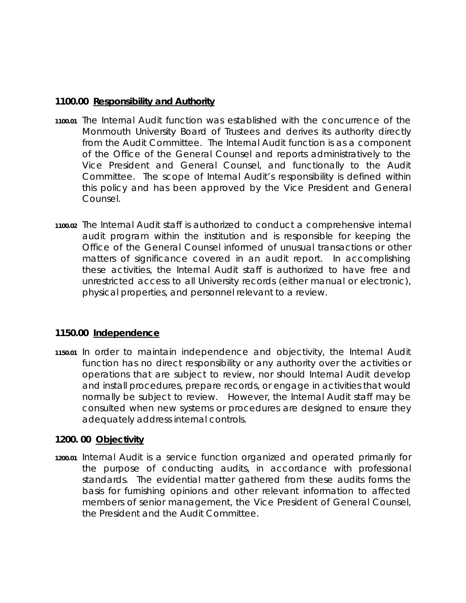#### **1100.00 Responsibility and Authority**

- **1100.01** The Internal Audit function was established with the concurrence of the Monmouth University Board of Trustees and derives its authority directly from the Audit Committee. The Internal Audit function is as a component of the Office of the General Counsel and reports administratively to the Vice President and General Counsel, and functionally to the Audit Committee. The scope of Internal Audit's responsibility is defined within this policy and has been approved by the Vice President and General Counsel.
- **1100.02** The Internal Audit staff is authorized to conduct a comprehensive internal audit program within the institution and is responsible for keeping the Office of the General Counsel informed of unusual transactions or other matters of significance covered in an audit report. In accomplishing these activities, the Internal Audit staff is authorized to have free and unrestricted access to all University records (either manual or electronic), physical properties, and personnel relevant to a review.

#### **1150.00 Independence**

**1150.01** In order to maintain independence and objectivity, the Internal Audit function has no direct responsibility or any authority over the activities or operations that are subject to review, nor should Internal Audit develop and install procedures, prepare records, or engage in activities that would normally be subject to review. However, the Internal Audit staff may be consulted when new systems or procedures are designed to ensure they adequately address internal controls.

#### **1200. 00 Objectivity**

**1200.01** Internal Audit is a service function organized and operated primarily for the purpose of conducting audits, in accordance with professional standards. The evidential matter gathered from these audits forms the basis for furnishing opinions and other relevant information to affected members of senior management, the Vice President of General Counsel, the President and the Audit Committee.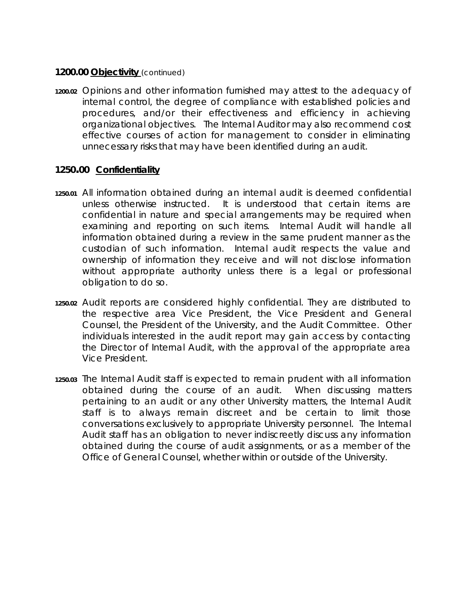#### **1200.00 Objectivity** *(continued)*

**1200.02** Opinions and other information furnished may attest to the adequacy of internal control, the degree of compliance with established policies and procedures, and/or their effectiveness and efficiency in achieving organizational objectives. The Internal Auditor may also recommend cost effective courses of action for management to consider in eliminating unnecessary risks that may have been identified during an audit.

### **1250.00 Confidentiality**

- **1250.01** All information obtained during an internal audit is deemed confidential unless otherwise instructed. It is understood that certain items are confidential in nature and special arrangements may be required when examining and reporting on such items. Internal Audit will handle all information obtained during a review in the same prudent manner as the custodian of such information. Internal audit respects the value and ownership of information they receive and will not disclose information without appropriate authority unless there is a legal or professional obligation to do so.
- **1250.02** Audit reports are considered highly confidential. They are distributed to the respective area Vice President, the Vice President and General Counsel, the President of the University, and the Audit Committee. Other individuals interested in the audit report may gain access by contacting the Director of Internal Audit, with the approval of the appropriate area Vice President.
- **1250.03** The Internal Audit staff is expected to remain prudent with all information obtained during the course of an audit. When discussing matters pertaining to an audit or any other University matters, the Internal Audit staff is to always remain discreet and be certain to limit those conversations exclusively to appropriate University personnel. The Internal Audit staff has an obligation to never indiscreetly discuss any information obtained during the course of audit assignments, or as a member of the Office of General Counsel, whether within or outside of the University.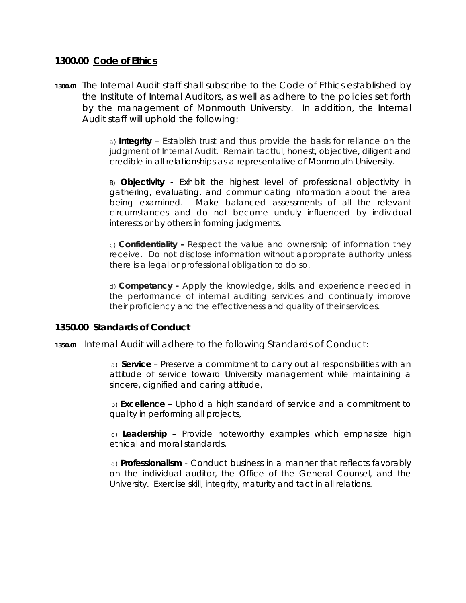#### **1300.00 Code of Ethics**

**1300.01** The Internal Audit staff shall subscribe to the Code of Ethics established by the Institute of Internal Auditors, as well as adhere to the policies set forth by the management of Monmouth University. In addition, the Internal Audit staff will uphold the following:

> *a) Integrity* – Establish trust and thus provide the basis for reliance on the judgment of Internal Audit. Remain tactful, honest, objective, diligent and credible in all relationships as a representative of Monmouth University.

> *B) Objectivity* **-** Exhibit the highest level of professional objectivity in gathering, evaluating, and communicating information about the area being examined. Make balanced assessments of all the relevant circumstances and do not become unduly influenced by individual interests or by others in forming judgments.

> *c) Confidentiality* **-** Respect the value and ownership of information they receive. Do not disclose information without appropriate authority unless there is a legal or professional obligation to do so.

> *d) Competency* **-** Apply the knowledge, skills, and experience needed in the performance of internal auditing services and continually improve their proficiency and the effectiveness and quality of their services.

#### **1350.00 Standards of Conduct**

**1350.01** Internal Audit will adhere to the following Standards of Conduct:

 *a) Service –* Preserve a commitment to carry out all responsibilities with an attitude of service toward University management while maintaining a sincere, dignified and caring attitude,

 *b) Excellence* – Uphold a high standard of service and a commitment to quality in performing all projects,

 *c) Leadership* – Provide noteworthy examples which emphasize high ethical and moral standards,

 *d) Professionalism* - Conduct business in a manner that reflects favorably on the individual auditor, the Office of the General Counsel, and the University. Exercise skill, integrity, maturity and tact in all relations.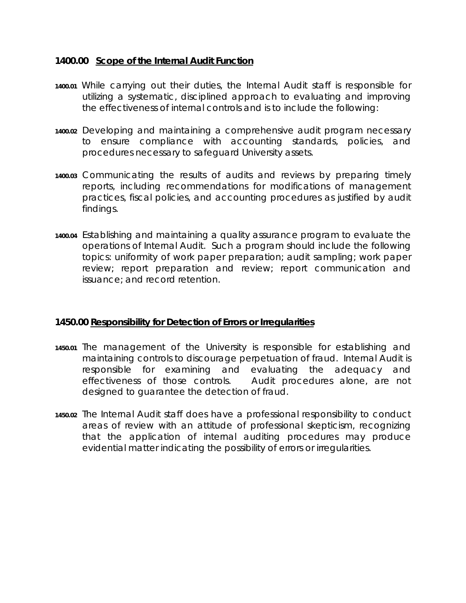#### **1400.00 Scope of the Internal Audit Function**

- **1400.01** While carrying out their duties, the Internal Audit staff is responsible for utilizing a systematic, disciplined approach to evaluating and improving the effectiveness of internal controls and is to include the following:
- **1400.02** Developing and maintaining a comprehensive audit program necessary to ensure compliance with accounting standards, policies, and procedures necessary to safeguard University assets.
- **1400.03** Communicating the results of audits and reviews by preparing timely reports, including recommendations for modifications of management practices, fiscal policies, and accounting procedures as justified by audit findings.
- **1400.04** Establishing and maintaining a quality assurance program to evaluate the operations of Internal Audit. Such a program should include the following topics: uniformity of work paper preparation; audit sampling; work paper review; report preparation and review; report communication and issuance; and record retention.

# **1450.00 Responsibility for Detection of Errors or Irregularities**

- **1450.01** The management of the University is responsible for establishing and maintaining controls to discourage perpetuation of fraud. Internal Audit is responsible for examining and evaluating the adequacy and effectiveness of those controls. Audit procedures alone, are not designed to guarantee the detection of fraud.
- **1450.02** The Internal Audit staff does have a professional responsibility to conduct areas of review with an attitude of professional skepticism, recognizing that the application of internal auditing procedures may produce evidential matter indicating the possibility of errors or irregularities.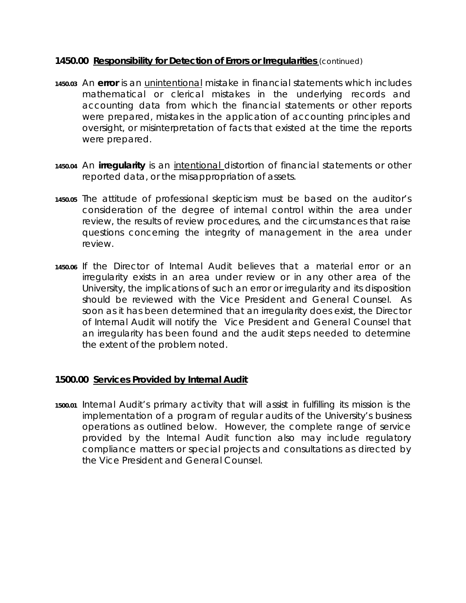#### **1450.00 Responsibility for Detection of Errors or Irregularities** *(continued)*

- **1450.03** An *error* is an unintentional mistake in financial statements which includes mathematical or clerical mistakes in the underlying records and accounting data from which the financial statements or other reports were prepared, mistakes in the application of accounting principles and oversight, or misinterpretation of facts that existed at the time the reports were prepared.
- **1450.04** An *irregularity* is an intentional distortion of financial statements or other reported data, or the misappropriation of assets.
- **1450.05** The attitude of professional skepticism must be based on the auditor's consideration of the degree of internal control within the area under review, the results of review procedures, and the circumstances that raise questions concerning the integrity of management in the area under review.
- **1450.06** If the Director of Internal Audit believes that a material error or an irregularity exists in an area under review or in any other area of the University, the implications of such an error or irregularity and its disposition should be reviewed with the Vice President and General Counsel. As soon as it has been determined that an irregularity does exist, the Director of Internal Audit will notify the Vice President and General Counsel that an irregularity has been found and the audit steps needed to determine the extent of the problem noted.

# **1500.00 Services Provided by Internal Audit**

**1500.01** Internal Audit's primary activity that will assist in fulfilling its mission is the implementation of a program of regular audits of the University's business operations as outlined below. However, the complete range of service provided by the Internal Audit function also may include regulatory compliance matters or special projects and consultations as directed by the Vice President and General Counsel.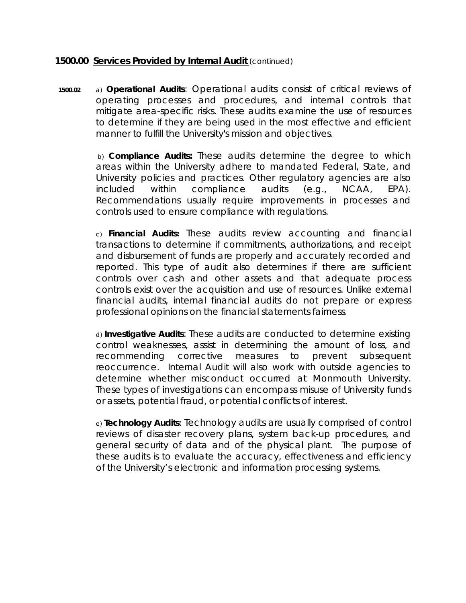#### **1500.00 Services Provided by Internal Audit** *(continued)*

**1500.02** *a) Operational Audits*: Operational audits consist of critical reviews of operating processes and procedures, and internal controls that mitigate area-specific risks. These audits examine the use of resources to determine if they are being used in the most effective and efficient manner to fulfill the University's mission and objectives.

> *b) Compliance Audits:* These audits determine the degree to which areas within the University adhere to mandated Federal, State, and University policies and practices. Other regulatory agencies are also included within compliance audits (e.g., NCAA, EPA). Recommendations usually require improvements in processes and controls used to ensure compliance with regulations.

> *c) Financial Audits***:** These audits review accounting and financial transactions to determine if commitments, authorizations, and receipt and disbursement of funds are properly and accurately recorded and reported. This type of audit also determines if there are sufficient controls over cash and other assets and that adequate process controls exist over the acquisition and use of resources. Unlike external financial audits, internal financial audits do not prepare or express professional opinions on the financial statements fairness.

> *d) Investigative Audits*: These audits are conducted to determine existing control weaknesses, assist in determining the amount of loss, and recommending corrective measures to prevent subsequent reoccurrence. Internal Audit will also work with outside agencies to determine whether misconduct occurred at Monmouth University. These types of investigations can encompass misuse of University funds or assets, potential fraud, or potential conflicts of interest.

> *e) Technology Audits:* Technology audits are usually comprised of control reviews of disaster recovery plans, system back-up procedures, and general security of data and of the physical plant. The purpose of these audits is to evaluate the accuracy, effectiveness and efficiency of the University's electronic and information processing systems.